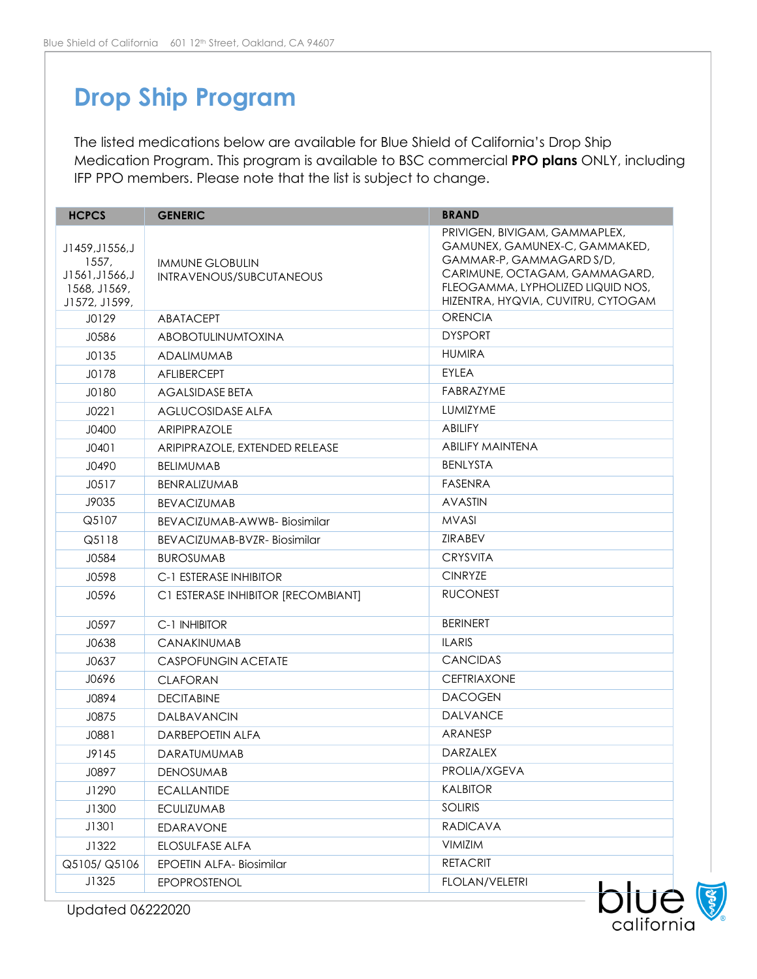## **Drop Ship Program**

The listed medications below are available for Blue Shield of California's Drop Ship Medication Program. This program is available to BSC commercial **PPO plans** ONLY, including IFP PPO members. Please note that the list is subject to change.

| <b>HCPCS</b>                                                                 | <b>GENERIC</b>                                     | <b>BRAND</b>                                                                                                                                                                                           |
|------------------------------------------------------------------------------|----------------------------------------------------|--------------------------------------------------------------------------------------------------------------------------------------------------------------------------------------------------------|
| J1459, J1556, J<br>1557,<br>J1561, J1566, J<br>1568, J1569,<br>J1572, J1599, | <b>IMMUNE GLOBULIN</b><br>INTRAVENOUS/SUBCUTANEOUS | PRIVIGEN, BIVIGAM, GAMMAPLEX,<br>GAMUNEX, GAMUNEX-C, GAMMAKED,<br>GAMMAR-P, GAMMAGARD S/D,<br>CARIMUNE, OCTAGAM, GAMMAGARD,<br>FLEOGAMMA, LYPHOLIZED LIQUID NOS,<br>HIZENTRA, HYQVIA, CUVITRU, CYTOGAM |
| J0129                                                                        | <b>ABATACEPT</b>                                   | <b>ORENCIA</b>                                                                                                                                                                                         |
| J0586                                                                        | ABOBOTULINUMTOXINA                                 | <b>DYSPORT</b>                                                                                                                                                                                         |
| J0135                                                                        | <b>ADALIMUMAB</b>                                  | <b>HUMIRA</b>                                                                                                                                                                                          |
| J0178                                                                        | <b>AFLIBERCEPT</b>                                 | <b>EYLEA</b>                                                                                                                                                                                           |
| J0180                                                                        | AGALSIDASE BETA                                    | FABRAZYME                                                                                                                                                                                              |
| J0221                                                                        | <b>AGLUCOSIDASE ALFA</b>                           | LUMIZYME                                                                                                                                                                                               |
| J0400                                                                        | <b>ARIPIPRAZOLE</b>                                | <b>ABILIFY</b>                                                                                                                                                                                         |
| J0401                                                                        | ARIPIPRAZOLE, EXTENDED RELEASE                     | <b>ABILIFY MAINTENA</b>                                                                                                                                                                                |
| J0490                                                                        | <b>BELIMUMAB</b>                                   | <b>BENLYSTA</b>                                                                                                                                                                                        |
| J0517                                                                        | <b>BENRALIZUMAB</b>                                | FASENRA                                                                                                                                                                                                |
| J9035                                                                        | <b>BEVACIZUMAB</b>                                 | <b>AVASTIN</b>                                                                                                                                                                                         |
| Q5107                                                                        | BEVACIZUMAB-AWWB-Biosimilar                        | <b>MVASI</b>                                                                                                                                                                                           |
| Q5118                                                                        | BEVACIZUMAB-BVZR- Biosimilar                       | <b>ZIRABEV</b>                                                                                                                                                                                         |
| J0584                                                                        | <b>BUROSUMAB</b>                                   | <b>CRYSVITA</b>                                                                                                                                                                                        |
| J0598                                                                        | <b>C-1 ESTERASE INHIBITOR</b>                      | <b>CINRYZE</b>                                                                                                                                                                                         |
| J0596                                                                        | C1 ESTERASE INHIBITOR [RECOMBIANT]                 | <b>RUCONEST</b>                                                                                                                                                                                        |
| J0597                                                                        | C-1 INHIBITOR                                      | <b>BERINERT</b>                                                                                                                                                                                        |
| J0638                                                                        | CANAKINUMAB                                        | <b>ILARIS</b>                                                                                                                                                                                          |
| J0637                                                                        | <b>CASPOFUNGIN ACETATE</b>                         | <b>CANCIDAS</b>                                                                                                                                                                                        |
| J0696                                                                        | <b>CLAFORAN</b>                                    | <b>CEFTRIAXONE</b>                                                                                                                                                                                     |
| J0894                                                                        | <b>DECITABINE</b>                                  | <b>DACOGEN</b>                                                                                                                                                                                         |
| J0875                                                                        | DALBAVANCIN                                        | <b>DALVANCE</b>                                                                                                                                                                                        |
| J0881                                                                        | <b>DARBEPOETIN ALFA</b>                            | ARANESP                                                                                                                                                                                                |
| J9145                                                                        | <b>DARATUMUMAB</b>                                 | DARZALEX                                                                                                                                                                                               |
| J0897                                                                        | <b>DENOSUMAB</b>                                   | PROLIA/XGEVA                                                                                                                                                                                           |
| J1290                                                                        | <b>ECALLANTIDE</b>                                 | <b>KALBITOR</b>                                                                                                                                                                                        |
| J1300                                                                        | <b>ECULIZUMAB</b>                                  | <b>SOLIRIS</b>                                                                                                                                                                                         |
| J1301                                                                        | EDARAVONE                                          | <b>RADICAVA</b>                                                                                                                                                                                        |
| J1322                                                                        | ELOSULFASE ALFA                                    | VIMIZIM                                                                                                                                                                                                |
| Q5105/Q5106                                                                  | <b>EPOETIN ALFA-Biosimilar</b>                     | <b>RETACRIT</b>                                                                                                                                                                                        |
| J1325                                                                        | <b>EPOPROSTENOL</b>                                | <b>FLOLAN/VELETRI</b>                                                                                                                                                                                  |



Updated 06222020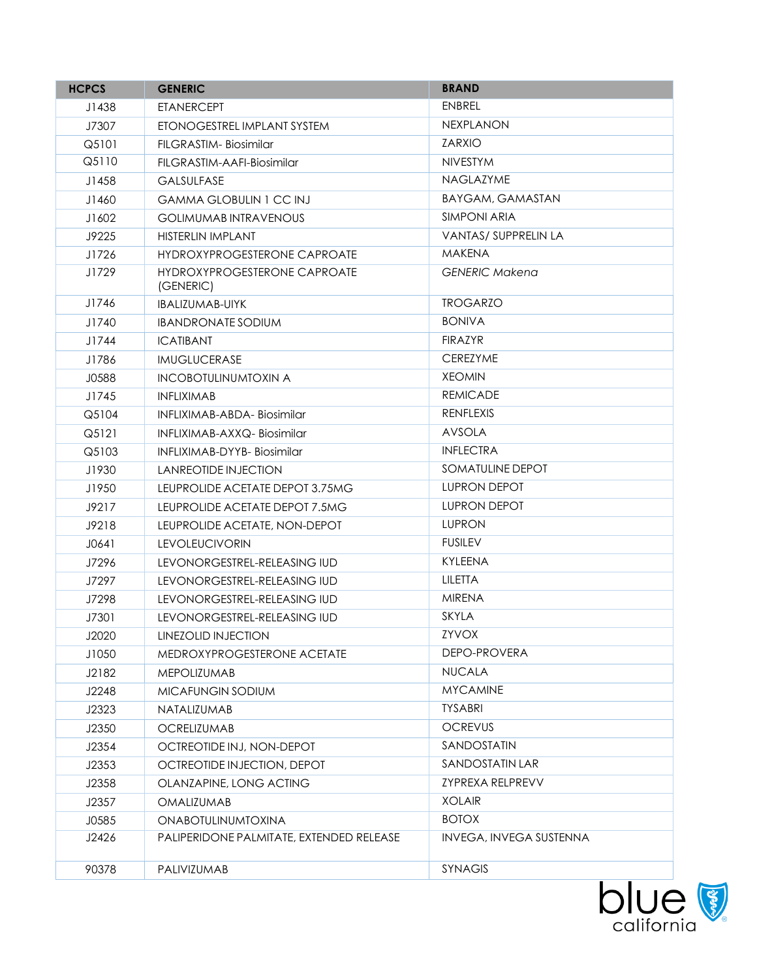| <b>HCPCS</b> | <b>GENERIC</b>                            | <b>BRAND</b>                   |
|--------------|-------------------------------------------|--------------------------------|
| J1438        | <b>ETANERCEPT</b>                         | <b>ENBREL</b>                  |
| J7307        | ETONOGESTREL IMPLANT SYSTEM               | <b>NEXPLANON</b>               |
| Q5101        | FILGRASTIM-Biosimilar                     | <b>ZARXIO</b>                  |
| Q5110        | FILGRASTIM-AAFI-Biosimilar                | <b>NIVESTYM</b>                |
| J1458        | <b>GALSULFASE</b>                         | NAGLAZYME                      |
| J1460        | <b>GAMMA GLOBULIN 1 CC INJ</b>            | BAYGAM, GAMASTAN               |
| J1602        | <b>GOLIMUMAB INTRAVENOUS</b>              | <b>SIMPONI ARIA</b>            |
| J9225        | HISTERLIN IMPLANT                         | <b>VANTAS/ SUPPRELIN LA</b>    |
| J1726        | HYDROXYPROGESTERONE CAPROATE              | <b>MAKENA</b>                  |
| J1729        | HYDROXYPROGESTERONE CAPROATE<br>(GENERIC) | <b>GENERIC Makena</b>          |
| J1746        | IBALIZUMAB-UIYK                           | <b>TROGARZO</b>                |
| J1740        | <b>IBANDRONATE SODIUM</b>                 | <b>BONIVA</b>                  |
| J1744        | <b>ICATIBANT</b>                          | <b>FIRAZYR</b>                 |
| J1786        | <b>IMUGLUCERASE</b>                       | <b>CEREZYME</b>                |
| J0588        | <b>INCOBOTULINUMTOXIN A</b>               | <b>XEOMIN</b>                  |
| J1745        | <b>INFLIXIMAB</b>                         | <b>REMICADE</b>                |
| Q5104        | <b>INFLIXIMAB-ABDA-Biosimilar</b>         | <b>RENFLEXIS</b>               |
| Q5121        | INFLIXIMAB-AXXQ- Biosimilar               | <b>AVSOLA</b>                  |
| Q5103        | INFLIXIMAB-DYYB- Biosimilar               | <b>INFLECTRA</b>               |
| J1930        | LANREOTIDE INJECTION                      | SOMATULINE DEPOT               |
| J1950        | LEUPROLIDE ACETATE DEPOT 3.75MG           | LUPRON DEPOT                   |
| J9217        | LEUPROLIDE ACETATE DEPOT 7.5MG            | <b>LUPRON DEPOT</b>            |
| J9218        | LEUPROLIDE ACETATE, NON-DEPOT             | <b>LUPRON</b>                  |
| J0641        | <b>LEVOLEUCIVORIN</b>                     | <b>FUSILEV</b>                 |
| J7296        | LEVONORGESTREL-RELEASING IUD              | <b>KYLEENA</b>                 |
| J7297        | LEVONORGESTREL-RELEASING IUD              | LILETTA                        |
| J7298        | LEVONORGESTREL-RELEASING IUD              | <b>MIRENA</b>                  |
| J7301        | LEVONORGESTREL-RELEASING IUD              | <b>SKYLA</b>                   |
| J2020        | LINEZOLID INJECTION                       | ZYVOX                          |
| J1050        | MEDROXYPROGESTERONE ACETATE               | DEPO-PROVERA                   |
| J2182        | MEPOLIZUMAB                               | <b>NUCALA</b>                  |
| J2248        | MICAFUNGIN SODIUM                         | <b>MYCAMINE</b>                |
| J2323        | NATALIZUMAB                               | <b>TYSABRI</b>                 |
| J2350        | <b>OCRELIZUMAB</b>                        | <b>OCREVUS</b>                 |
| J2354        | OCTREOTIDE INJ, NON-DEPOT                 | SANDOSTATIN                    |
| J2353        | OCTREOTIDE INJECTION, DEPOT               | SANDOSTATIN LAR                |
| J2358        | OLANZAPINE, LONG ACTING                   | <b>ZYPREXA RELPREVV</b>        |
| J2357        | <b>OMALIZUMAB</b>                         | <b>XOLAIR</b>                  |
| J0585        | <b>ONABOTULINUMTOXINA</b>                 | <b>BOTOX</b>                   |
| J2426        | PALIPERIDONE PALMITATE, EXTENDED RELEASE  | <b>INVEGA, INVEGA SUSTENNA</b> |
| 90378        | PALIVIZUMAB                               | <b>SYNAGIS</b>                 |